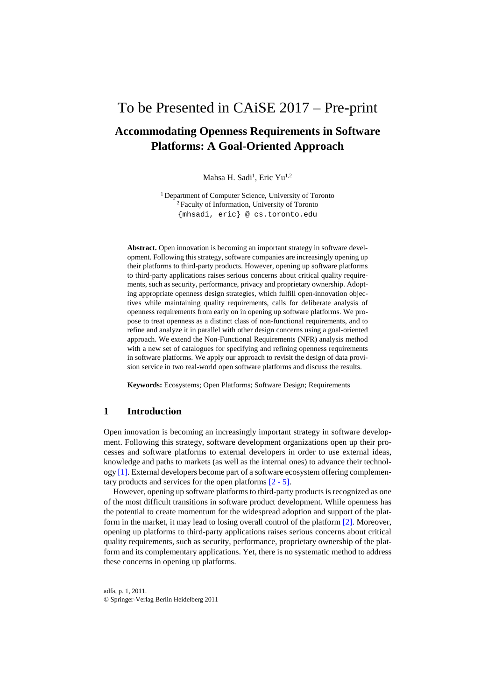# To be Presented in CAiSE 2017 – Pre-print

## **Accommodating Openness Requirements in Software Platforms: A Goal-Oriented Approach**

Mahsa H. Sadi<sup>1</sup>, Eric Yu<sup>1,2</sup>

<sup>1</sup> Department of Computer Science, University of Toronto <sup>2</sup>Faculty of Information, University of Toronto {mhsadi, eric} @ cs.toronto.edu

**Abstract.** Open innovation is becoming an important strategy in software development. Following this strategy, software companies are increasingly opening up their platforms to third-party products. However, opening up software platforms to third-party applications raises serious concerns about critical quality requirements, such as security, performance, privacy and proprietary ownership. Adopting appropriate openness design strategies, which fulfill open-innovation objectives while maintaining quality requirements, calls for deliberate analysis of openness requirements from early on in opening up software platforms. We propose to treat openness as a distinct class of non-functional requirements, and to refine and analyze it in parallel with other design concerns using a goal-oriented approach. We extend the Non-Functional Requirements (NFR) analysis method with a new set of catalogues for specifying and refining openness requirements in software platforms. We apply our approach to revisit the design of data provision service in two real-world open software platforms and discuss the results.

**Keywords:** Ecosystems; Open Platforms; Software Design; Requirements

## **1 Introduction**

Open innovation is becoming an increasingly important strategy in software development. Following this strategy, software development organizations open up their processes and software platforms to external developers in order to use external ideas, knowledge and paths to markets (as well as the internal ones) to advance their technology [1]. External developers become part of a software ecosystem offering complementary products and services for the open platforms [2 - 5].

However, opening up software platforms to third-party products is recognized as one of the most difficult transitions in software product development. While openness has the potential to create momentum for the widespread adoption and support of the platform in the market, it may lead to losing overall control of the platform [2]. Moreover, opening up platforms to third-party applications raises serious concerns about critical quality requirements, such as security, performance, proprietary ownership of the platform and its complementary applications. Yet, there is no systematic method to address these concerns in opening up platforms.

adfa, p. 1, 2011. © Springer-Verlag Berlin Heidelberg 2011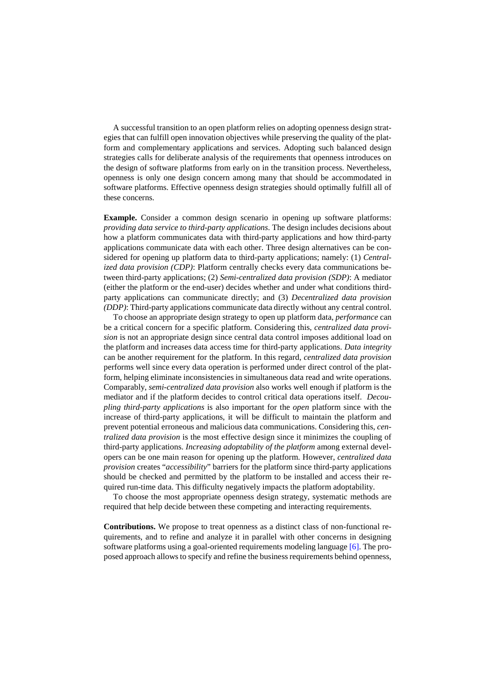A successful transition to an open platform relies on adopting openness design strategies that can fulfill open innovation objectives while preserving the quality of the platform and complementary applications and services. Adopting such balanced design strategies calls for deliberate analysis of the requirements that openness introduces on the design of software platforms from early on in the transition process. Nevertheless, openness is only one design concern among many that should be accommodated in software platforms. Effective openness design strategies should optimally fulfill all of these concerns.

**Example.** Consider a common design scenario in opening up software platforms: *providing data service to third-party applications*. The design includes decisions about how a platform communicates data with third-party applications and how third-party applications communicate data with each other. Three design alternatives can be considered for opening up platform data to third-party applications; namely: (1) *Centralized data provision (CDP)*: Platform centrally checks every data communications between third-party applications; (2) *Semi-centralized data provision (SDP)*: A mediator (either the platform or the end-user) decides whether and under what conditions thirdparty applications can communicate directly; and (3) *Decentralized data provision (DDP)*: Third-party applications communicate data directly without any central control.

To choose an appropriate design strategy to open up platform data, *performance* can be a critical concern for a specific platform. Considering this, *centralized data provision* is not an appropriate design since central data control imposes additional load on the platform and increases data access time for third-party applications. *Data integrity* can be another requirement for the platform. In this regard, *centralized data provision* performs well since every data operation is performed under direct control of the platform, helping eliminate inconsistencies in simultaneous data read and write operations. Comparably, *semi-centralized data provision* also works well enough if platform is the mediator and if the platform decides to control critical data operations itself. *Decoupling third-party applications* is also important for the *open* platform since with the increase of third-party applications, it will be difficult to maintain the platform and prevent potential erroneous and malicious data communications. Considering this, *centralized data provision* is the most effective design since it minimizes the coupling of third-party applications. *Increasing adoptability of the platform* among external developers can be one main reason for opening up the platform. However, *centralized data provision* creates "*accessibility*" barriers for the platform since third-party applications should be checked and permitted by the platform to be installed and access their required run-time data. This difficulty negatively impacts the platform adoptability.

To choose the most appropriate openness design strategy, systematic methods are required that help decide between these competing and interacting requirements.

**Contributions.** We propose to treat openness as a distinct class of non-functional requirements, and to refine and analyze it in parallel with other concerns in designing software platforms using a goal-oriented requirements modeling language [6]. The proposed approach allows to specify and refine the business requirements behind openness,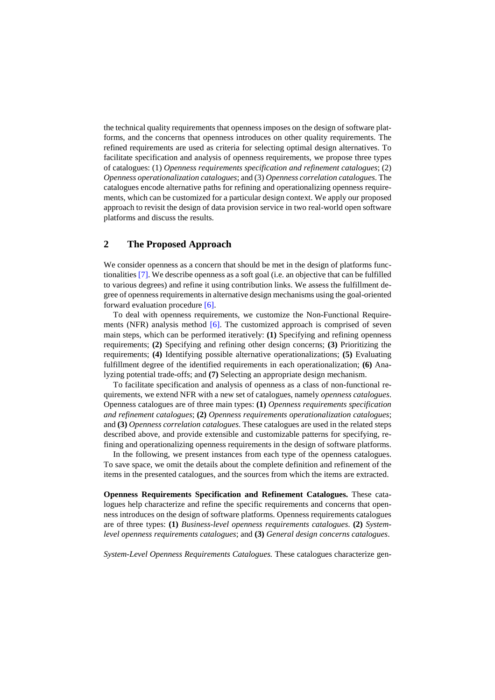the technical quality requirements that openness imposes on the design of software platforms, and the concerns that openness introduces on other quality requirements. The refined requirements are used as criteria for selecting optimal design alternatives. To facilitate specification and analysis of openness requirements, we propose three types of catalogues: (1) *Openness requirements specification and refinement catalogues*; (2) *Openness operationalization catalogues*; and (3) *Openness correlation catalogues*. The catalogues encode alternative paths for refining and operationalizing openness requirements, which can be customized for a particular design context. We apply our proposed approach to revisit the design of data provision service in two real-world open software platforms and discuss the results.

## **2 The Proposed Approach**

We consider openness as a concern that should be met in the design of platforms functionalities [7]. We describe openness as a soft goal (i.e. an objective that can be fulfilled to various degrees) and refine it using contribution links. We assess the fulfillment degree of openness requirements in alternative design mechanisms using the goal-oriented forward evaluation procedure [6].

To deal with openness requirements, we customize the Non-Functional Requirements (NFR) analysis method [6]. The customized approach is comprised of seven main steps, which can be performed iteratively: **(1)** Specifying and refining openness requirements; **(2)** Specifying and refining other design concerns; **(3)** Prioritizing the requirements; **(4)** Identifying possible alternative operationalizations; **(5)** Evaluating fulfillment degree of the identified requirements in each operationalization; **(6)** Analyzing potential trade-offs; and **(7)** Selecting an appropriate design mechanism.

To facilitate specification and analysis of openness as a class of non-functional requirements, we extend NFR with a new set of catalogues, namely *openness catalogues*. Openness catalogues are of three main types: **(1)** *Openness requirements specification and refinement catalogues*; **(2)** *Openness requirements operationalization catalogues*; and **(3)** *Openness correlation catalogues*. These catalogues are used in the related steps described above, and provide extensible and customizable patterns for specifying, refining and operationalizing openness requirements in the design of software platforms.

In the following, we present instances from each type of the openness catalogues. To save space, we omit the details about the complete definition and refinement of the items in the presented catalogues, and the sources from which the items are extracted.

**Openness Requirements Specification and Refinement Catalogues.** These catalogues help characterize and refine the specific requirements and concerns that openness introduces on the design of software platforms. Openness requirements catalogues are of three types: **(1)** *Business-level openness requirements catalogues*. **(2)** *Systemlevel openness requirements catalogues*; and **(3)** *General design concerns catalogues*.

*System-Level Openness Requirements Catalogues.* These catalogues characterize gen-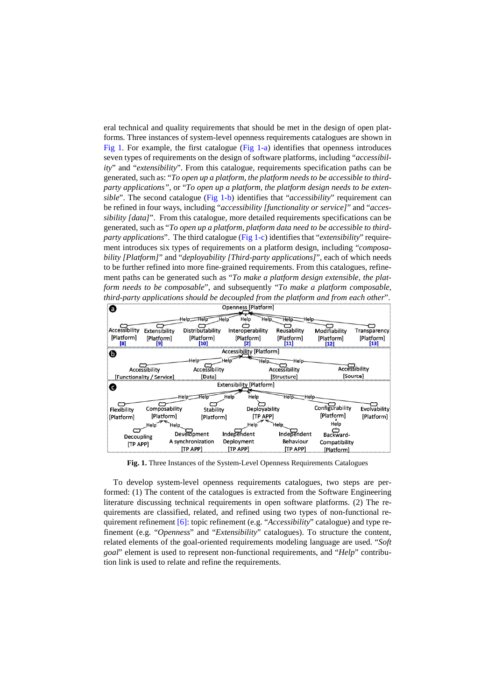eral technical and quality requirements that should be met in the design of open platforms. Three instances of system-level openness requirements catalogues are shown in Fig 1. For example, the first catalogue  $(Fig 1-a)$  identifies that openness introduces seven types of requirements on the design of software platforms, including "*accessibility*" and "*extensibility*". From this catalogue, requirements specification paths can be generated, such as: "*To open up a platform, the platform needs to be accessible to thirdparty applications"*, or "*To open up a platform, the platform design needs to be exten* $sible$ ". The second catalogue (Fig 1-b) identifies that "*accessibility*" requirement can be refined in four ways, including "*accessibility [functionality or service]*" and "*accessibility [data]*". From this catalogue, more detailed requirements specifications can be generated, such as "*To open up a platform, platform data need to be accessible to thirdparty applications*". The third catalogue (Fig 1-c) identifies that "*extensibility*" requirement introduces six types of requirements on a platform design, including "*composability [Platform]*" and "*deployability [Third-party applications]*", each of which needs to be further refined into more fine-grained requirements. From this catalogues, refinement paths can be generated such as "*To make a platform design extensible, the platform needs to be composable*", and subsequently "*To make a platform composable, third-party applications should be decoupled from the platform and from each other*".



**Fig. 1.** Three Instances of the System-Level Openness Requirements Catalogues

To develop system-level openness requirements catalogues, two steps are performed: (1) The content of the catalogues is extracted from the Software Engineering literature discussing technical requirements in open software platforms. (2) The requirements are classified, related, and refined using two types of non-functional requirement refinement [6]: topic refinement (e.g. "*Accessibility*" catalogue) and type refinement (e.g. "*Openness*" and "*Extensibility*" catalogues). To structure the content, related elements of the goal-oriented requirements modeling language are used. "*Soft goal*" element is used to represent non-functional requirements, and "*Help*" contribution link is used to relate and refine the requirements.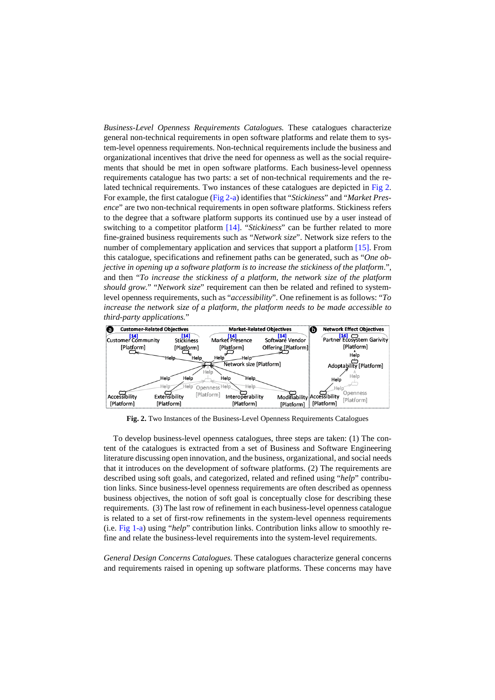*Business-Level Openness Requirements Catalogues.* These catalogues characterize general non-technical requirements in open software platforms and relate them to system-level openness requirements. Non-technical requirements include the business and organizational incentives that drive the need for openness as well as the social requirements that should be met in open software platforms. Each business-level openness requirements catalogue has two parts: a set of non-technical requirements and the related technical requirements. Two instances of these catalogues are depicted in Fig 2. For example, the first catalogue (Fig 2-a) identifies that "*Stickiness*" and "*Market Presence*" are two non-technical requirements in open software platforms. Stickiness refers to the degree that a software platform supports its continued use by a user instead of switching to a competitor platform [14]. "*Stickiness*" can be further related to more fine-grained business requirements such as "*Network size*". Network size refers to the number of complementary application and services that support a platform [15]. From this catalogue, specifications and refinement paths can be generated, such as "*One objective in opening up a software platform is to increase the stickiness of the platform*.", and then "*To increase the stickiness of a platform, the network size of the platform should grow.*" "*Network size*" requirement can then be related and refined to systemlevel openness requirements, such as "*accessibility*". One refinement is as follows: "*To increase the network size of a platform, the platform needs to be made accessible to third-party applications.*"



**Fig. 2.** Two Instances of the Business-Level Openness Requirements Catalogues

To develop business-level openness catalogues, three steps are taken: (1) The content of the catalogues is extracted from a set of Business and Software Engineering literature discussing open innovation, and the business, organizational, and social needs that it introduces on the development of software platforms. (2) The requirements are described using soft goals, and categorized, related and refined using "*help*" contribution links. Since business-level openness requirements are often described as openness business objectives, the notion of soft goal is conceptually close for describing these requirements. (3) The last row of refinement in each business-level openness catalogue is related to a set of first-row refinements in the system-level openness requirements (i.e. Fig 1-a) using "*help*" contribution links. Contribution links allow to smoothly refine and relate the business-level requirements into the system-level requirements.

*General Design Concerns Catalogues.* These catalogues characterize general concerns and requirements raised in opening up software platforms. These concerns may have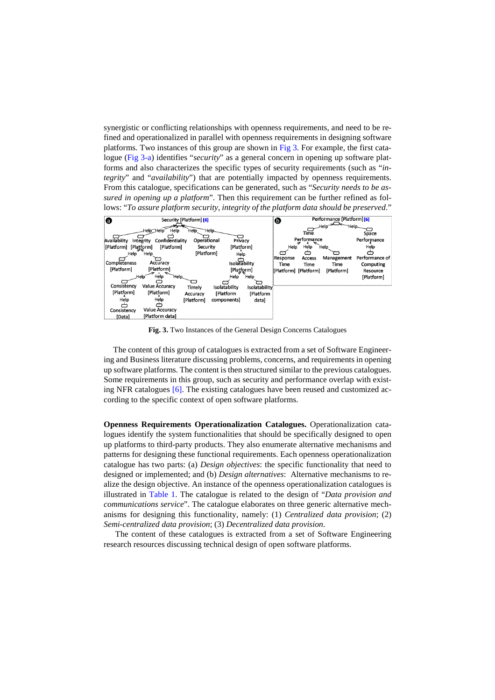synergistic or conflicting relationships with openness requirements, and need to be refined and operationalized in parallel with openness requirements in designing software platforms. Two instances of this group are shown in Fig 3. For example, the first catalogue (Fig 3-a) identifies "*security*" as a general concern in opening up software platforms and also characterizes the specific types of security requirements (such as "*integrity*" and "*availability*") that are potentially impacted by openness requirements. From this catalogue, specifications can be generated, such as "*Security needs to be assured in opening up a platform*". Then this requirement can be further refined as follows: "*To assure platform security, integrity of the platform data should be preserved*."



**Fig. 3.** Two Instances of the General Design Concerns Catalogues

The content of this group of catalogues is extracted from a set of Software Engineering and Business literature discussing problems, concerns, and requirements in opening up software platforms. The content is then structured similar to the previous catalogues. Some requirements in this group, such as security and performance overlap with existing NFR catalogues [6]. The existing catalogues have been reused and customized according to the specific context of open software platforms.

**Openness Requirements Operationalization Catalogues.** Operationalization catalogues identify the system functionalities that should be specifically designed to open up platforms to third-party products. They also enumerate alternative mechanisms and patterns for designing these functional requirements. Each openness operationalization catalogue has two parts: (a) *Design objectives*: the specific functionality that need to designed or implemented; and (b) *Design alternatives*: Alternative mechanisms to realize the design objective. An instance of the openness operationalization catalogues is illustrated in Table 1. The catalogue is related to the design of "*Data provision and communications service*". The catalogue elaborates on three generic alternative mechanisms for designing this functionality, namely: (1) *Centralized data provision*; (2) *Semi-centralized data provision*; (3) *Decentralized data provision*.

The content of these catalogues is extracted from a set of Software Engineering research resources discussing technical design of open software platforms.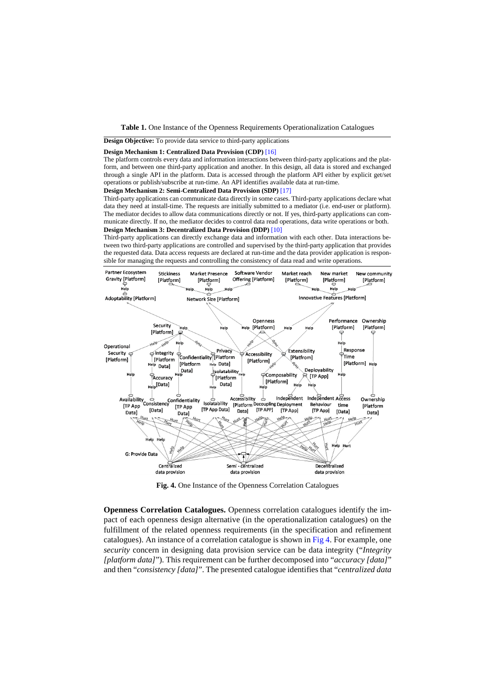**Table 1.** One Instance of the Openness Requirements Operationalization Catalogues

**Design Objective:** To provide data service to third-party applications

#### **Design Mechanism 1: Centralized Data Provision (CDP)** [16]

The platform controls every data and information interactions between third-party applications and the platform, and between one third-party application and another. In this design, all data is stored and exchanged through a single API in the platform. Data is accessed through the platform API either by explicit get/set operations or publish/subscribe at run-time. An API identifies available data at run-time.

**Design Mechanism 2: Semi-Centralized Data Provision (SDP)** [17]

Third-party applications can communicate data directly in some cases. Third-party applications declare what data they need at install-time. The requests are initially submitted to a mediator (i.e. end-user or platform). The mediator decides to allow data communications directly or not. If yes, third-party applications can communicate directly. If no, the mediator decides to control data read operations, data write operations or both. **Design Mechanism 3: Decentralized Data Provision (DDP)** [10]

Third-party applications can directly exchange data and information with each other. Data interactions between two third-party applications are controlled and supervised by the third-party application that provides the requested data. Data access requests are declared at run-time and the data provider application is responsible for managing the requests and controlling the consistency of data read and write operations.



**Fig. 4.** One Instance of the Openness Correlation Catalogues

**Openness Correlation Catalogues.** Openness correlation catalogues identify the impact of each openness design alternative (in the operationalization catalogues) on the fulfillment of the related openness requirements (in the specification and refinement catalogues). An instance of a correlation catalogue is shown in Fig 4. For example, one *security* concern in designing data provision service can be data integrity ("*Integrity [platform data]*"). This requirement can be further decomposed into "*accuracy [data]*" and then "*consistency [data]*". The presented catalogue identifies that "*centralized data*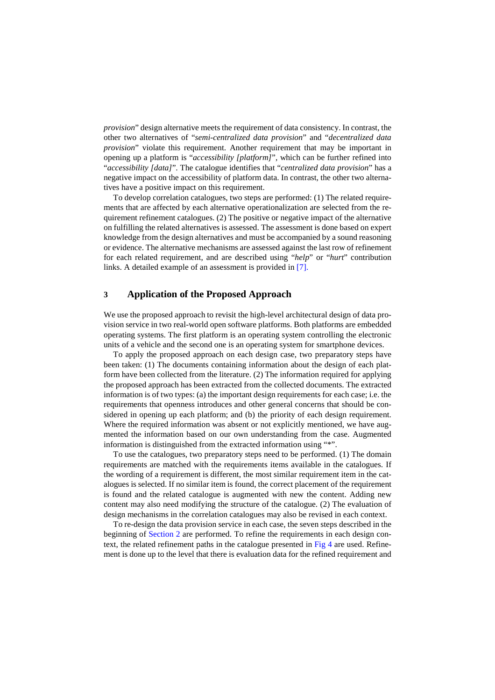*provision*" design alternative meets the requirement of data consistency. In contrast, the other two alternatives of "*semi-centralized data provision*" and "*decentralized data provision*" violate this requirement. Another requirement that may be important in opening up a platform is "*accessibility [platform]*", which can be further refined into "*accessibility [data]*". The catalogue identifies that "*centralized data provision*" has a negative impact on the accessibility of platform data. In contrast, the other two alternatives have a positive impact on this requirement.

To develop correlation catalogues, two steps are performed: (1) The related requirements that are affected by each alternative operationalization are selected from the requirement refinement catalogues. (2) The positive or negative impact of the alternative on fulfilling the related alternatives is assessed. The assessment is done based on expert knowledge from the design alternatives and must be accompanied by a sound reasoning or evidence. The alternative mechanisms are assessed against the last row of refinement for each related requirement, and are described using "*help*" or "*hurt*" contribution links. A detailed example of an assessment is provided in [7].

### **3 Application of the Proposed Approach**

We use the proposed approach to revisit the high-level architectural design of data provision service in two real-world open software platforms. Both platforms are embedded operating systems. The first platform is an operating system controlling the electronic units of a vehicle and the second one is an operating system for smartphone devices.

To apply the proposed approach on each design case, two preparatory steps have been taken: (1) The documents containing information about the design of each platform have been collected from the literature. (2) The information required for applying the proposed approach has been extracted from the collected documents. The extracted information is of two types: (a) the important design requirements for each case; i.e. the requirements that openness introduces and other general concerns that should be considered in opening up each platform; and (b) the priority of each design requirement. Where the required information was absent or not explicitly mentioned, we have augmented the information based on our own understanding from the case. Augmented information is distinguished from the extracted information using "\*".

To use the catalogues, two preparatory steps need to be performed. (1) The domain requirements are matched with the requirements items available in the catalogues. If the wording of a requirement is different, the most similar requirement item in the catalogues is selected. If no similar item is found, the correct placement of the requirement is found and the related catalogue is augmented with new the content. Adding new content may also need modifying the structure of the catalogue. (2) The evaluation of design mechanisms in the correlation catalogues may also be revised in each context.

To re-design the data provision service in each case, the seven steps described in the beginning of Section 2 are performed. To refine the requirements in each design context, the related refinement paths in the catalogue presented in Fig 4 are used. Refinement is done up to the level that there is evaluation data for the refined requirement and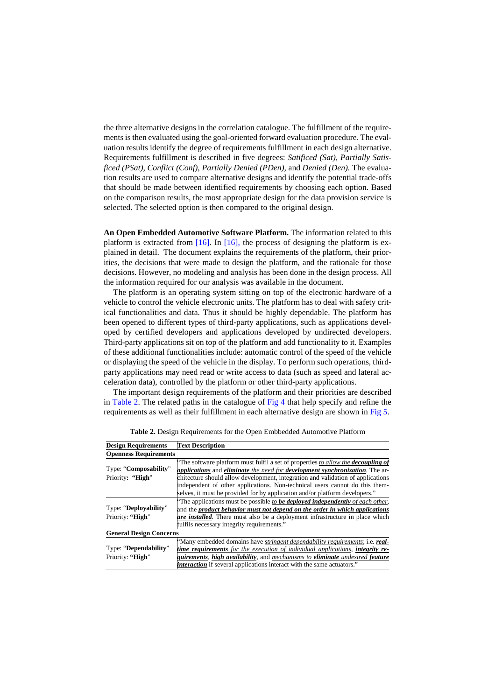the three alternative designs in the correlation catalogue. The fulfillment of the requirements is then evaluated using the goal-oriented forward evaluation procedure. The evaluation results identify the degree of requirements fulfillment in each design alternative. Requirements fulfillment is described in five degrees: *Satificed (Sat), Partially Satisficed (PSat), Conflict (Conf), Partially Denied (PDen),* and *Denied (Den).* The evaluation results are used to compare alternative designs and identify the potential trade-offs that should be made between identified requirements by choosing each option. Based on the comparison results, the most appropriate design for the data provision service is selected. The selected option is then compared to the original design.

**An Open Embedded Automotive Software Platform.** The information related to this platform is extracted from [16]. In [16], the process of designing the platform is explained in detail. The document explains the requirements of the platform, their priorities, the decisions that were made to design the platform, and the rationale for those decisions. However, no modeling and analysis has been done in the design process. All the information required for our analysis was available in the document.

The platform is an operating system sitting on top of the electronic hardware of a vehicle to control the vehicle electronic units. The platform has to deal with safety critical functionalities and data. Thus it should be highly dependable. The platform has been opened to different types of third-party applications, such as applications developed by certified developers and applications developed by undirected developers. Third-party applications sit on top of the platform and add functionality to it. Examples of these additional functionalities include: automatic control of the speed of the vehicle or displaying the speed of the vehicle in the display. To perform such operations, thirdparty applications may need read or write access to data (such as speed and lateral acceleration data), controlled by the platform or other third-party applications.

The important design requirements of the platform and their priorities are described in Table 2. The related paths in the catalogue of Fig 4 that help specify and refine the requirements as well as their fulfillment in each alternative design are shown in Fig 5.

| <b>Design Requirements</b>                | <b>Text Description</b>                                                                                                                                                                                                                                                                                                                                                                                                                  |  |  |  |  |
|-------------------------------------------|------------------------------------------------------------------------------------------------------------------------------------------------------------------------------------------------------------------------------------------------------------------------------------------------------------------------------------------------------------------------------------------------------------------------------------------|--|--|--|--|
| <b>Openness Requirements</b>              |                                                                                                                                                                                                                                                                                                                                                                                                                                          |  |  |  |  |
| Type: "Composability"<br>Priority: "High" | "The software platform must fulfil a set of properties to allow the <b>decoupling of</b><br><i>applications</i> and <i>eliminate the need for development synchronization</i> . The ar-<br>chitecture should allow development, integration and validation of applications<br>independent of other applications. Non-technical users cannot do this them-<br>selves, it must be provided for by application and/or platform developers." |  |  |  |  |
| Type: "Deployability"<br>Priority: "High" | "The applications must be possible to <b>be deployed independently</b> of each other,<br>and the product behavior must not depend on the order in which applications<br>are installed. There must also be a deployment infrastructure in place which<br>fulfils necessary integrity requirements."                                                                                                                                       |  |  |  |  |
| <b>General Design Concerns</b>            |                                                                                                                                                                                                                                                                                                                                                                                                                                          |  |  |  |  |
| Type: "Dependability"<br>Priority: "High" | "Many embedded domains have <i>stringent dependability requirements</i> ; i.e. <i>real-</i><br><b>time requirements</b> for the execution of individual applications, integrity re-<br>quirements, high availability, and mechanisms to eliminate undesired feature<br><i>interaction</i> if several applications interact with the same actuators."                                                                                     |  |  |  |  |

**Table 2.** Design Requirements for the Open Embbedded Automotive Platform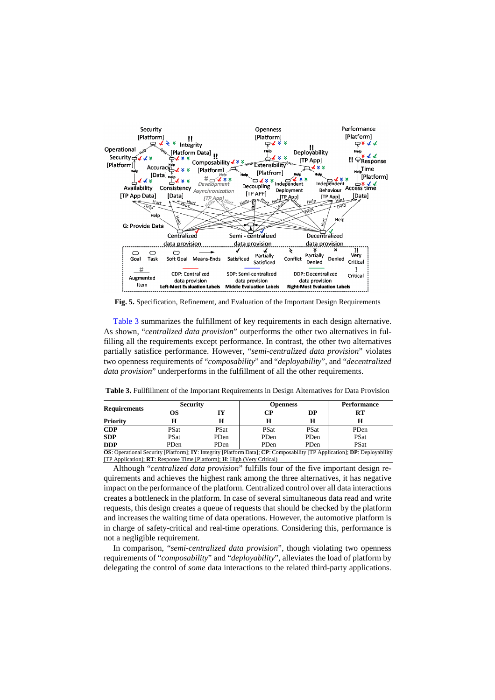

**Fig. 5.** Specification, Refinement, and Evaluation of the Important Design Requirements

Table 3 summarizes the fulfillment of key requirements in each design alternative. As shown, "*centralized data provision*" outperforms the other two alternatives in fulfilling all the requirements except performance. In contrast, the other two alternatives partially satisfice performance. However, "*semi-centralized data provision*" violates two openness requirements of "*composability*" and "*deployability*", and "*decentralized data provision*" underperforms in the fulfillment of all the other requirements.

**Table 3.** Fullfillment of the Important Requirements in Design Alternatives for Data Provision

|      |      |                 | Performance |                 |  |
|------|------|-----------------|-------------|-----------------|--|
| OS   | IY   | CР              | DP          | RT              |  |
| н    | Н    | н               | н           | н               |  |
| PSat | PSat | PSat            | PSat        | PDen            |  |
| PSat | PDen | PDen            | PDen        | PSat            |  |
| PDen | PDen | PDen            | PDen        | PSat            |  |
|      |      | <b>Security</b> |             | <b>Openness</b> |  |

[TP Application]; **RT**: Response Time [Platform]; **H**: High (Very Critical)

Although "*centralized data provision*" fulfills four of the five important design requirements and achieves the highest rank among the three alternatives, it has negative impact on the performance of the platform. Centralized control over all data interactions creates a bottleneck in the platform. In case of several simultaneous data read and write requests, this design creates a queue of requests that should be checked by the platform and increases the waiting time of data operations. However, the automotive platform is in charge of safety-critical and real-time operations. Considering this, performance is not a negligible requirement.

In comparison, "*semi-centralized data provision*", though violating two openness requirements of "*composability*" and "*deployability*", alleviates the load of platform by delegating the control of *some* data interactions to the related third-party applications.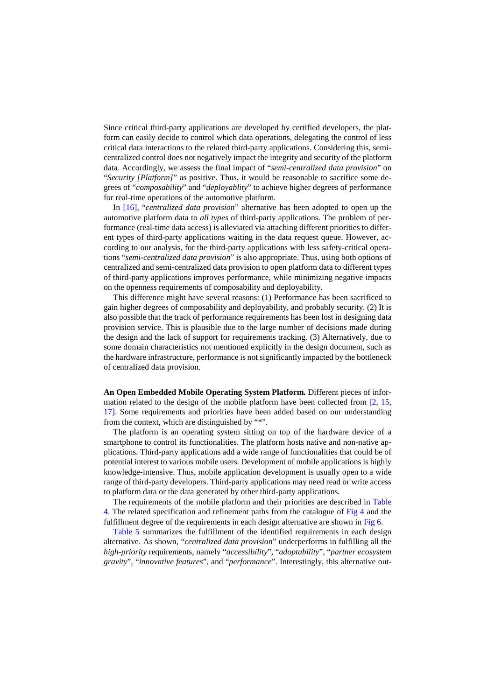Since critical third-party applications are developed by certified developers, the platform can easily decide to control which data operations, delegating the control of less critical data interactions to the related third-party applications. Considering this, semicentralized control does not negatively impact the integrity and security of the platform data. Accordingly, we assess the final impact of "*semi-centralized data provision*" on "*Security [Platform]*" as positive. Thus, it would be reasonable to sacrifice some degrees of "*composability*" and "*deployablity*" to achieve higher degrees of performance for real-time operations of the automotive platform.

In [16], "*centralized data provision*" alternative has been adopted to open up the automotive platform data to *all types* of third-party applications. The problem of performance (real-time data access) is alleviated via attaching different priorities to different types of third-party applications waiting in the data request queue. However, according to our analysis, for the third-party applications with less safety-critical operations "*semi-centralized data provision*" is also appropriate. Thus, using both options of centralized and semi-centralized data provision to open platform data to different types of third-party applications improves performance, while minimizing negative impacts on the openness requirements of composability and deployability.

This difference might have several reasons: (1) Performance has been sacrificed to gain higher degrees of composability and deployability, and probably security. (2) It is also possible that the track of performance requirements has been lost in designing data provision service. This is plausible due to the large number of decisions made during the design and the lack of support for requirements tracking. (3) Alternatively, due to some domain characteristics not mentioned explicitly in the design document, such as the hardware infrastructure, performance is not significantly impacted by the bottleneck of centralized data provision.

**An Open Embedded Mobile Operating System Platform.** Different pieces of information related to the design of the mobile platform have been collected from [2, 15, 17]. Some requirements and priorities have been added based on our understanding from the context, which are distinguished by "\*".

The platform is an operating system sitting on top of the hardware device of a smartphone to control its functionalities. The platform hosts native and non-native applications. Third-party applications add a wide range of functionalities that could be of potential interest to various mobile users. Development of mobile applications is highly knowledge-intensive. Thus, mobile application development is usually open to a wide range of third-party developers. Third-party applications may need read or write access to platform data or the data generated by other third-party applications.

The requirements of the mobile platform and their priorities are described in Table 4. The related specification and refinement paths from the catalogue of Fig 4 and the fulfillment degree of the requirements in each design alternative are shown in Fig 6.

Table 5 summarizes the fulfillment of the identified requirements in each design alternative. As shown, "*centralized data provision*" underperforms in fulfilling all the *high-priority* requirements, namely "*accessibility*", "*adoptability*", "*partner ecosystem gravity*", "*innovative features*", and "*performance*". Interestingly, this alternative out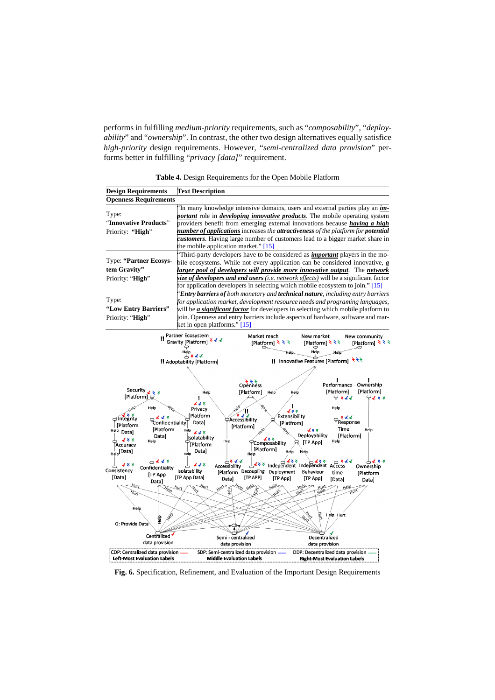performs in fulfilling *medium-priority* requirements, such as "*composability*", "*deployability*" and "*ownership*". In contrast, the other two design alternatives equally satisfice *high-priority* design requirements. However, "*semi-centralized data provision*" performs better in fulfilling "*privacy [data]*" requirement.

| Table 4. Design Requirements for the Open Mobile Platform |  |  |
|-----------------------------------------------------------|--|--|
|-----------------------------------------------------------|--|--|

| <b>Design Requirements</b>                                        | <b>Text Description</b>                                                                                                                                                                                                                                                                                                                                                                                                                                                        |
|-------------------------------------------------------------------|--------------------------------------------------------------------------------------------------------------------------------------------------------------------------------------------------------------------------------------------------------------------------------------------------------------------------------------------------------------------------------------------------------------------------------------------------------------------------------|
| <b>Openness Requirements</b>                                      |                                                                                                                                                                                                                                                                                                                                                                                                                                                                                |
| Type:<br>"Innovative Products"<br>Priority: "High"                | "In many knowledge intensive domains, users and external parties play an <i>im-</i><br>portant role in <i>developing innovative products</i> . The mobile operating system<br>providers benefit from emerging external innovations because <i>having a high</i><br>number of applications increases the attractiveness of the platform for potential<br>customers. Having large number of customers lead to a bigger market share in<br>the mobile application market." $[15]$ |
| <b>Type: "Partner Ecosys-</b><br>tem Gravity"<br>Priority: "High" | "Third-party developers have to be considered as <i>important</i> players in the mo-<br>bile ecosystems. While not every application can be considered innovative, $a$<br>larger pool of developers will provide more innovative output. The network<br>size of developers and end users <i>(i.e. network effects)</i> will be a significant factor<br>for application developers in selecting which mobile ecosystem to join." [15]                                           |
| Type:<br>"Low Entry Barriers"<br>Priority: "High"                 | "Entry barriers of both monetary and technical nature, including entry barriers<br>for application market, development resource needs and programing languages,<br>will be <i>a significant factor</i> for developers in selecting which mobile platform to<br>join. Openness and entry barriers include aspects of hardware, software and mar-<br>ket in open platforms." [15]                                                                                                |



**Fig. 6.** Specification, Refinement, and Evaluation of the Important Design Requirements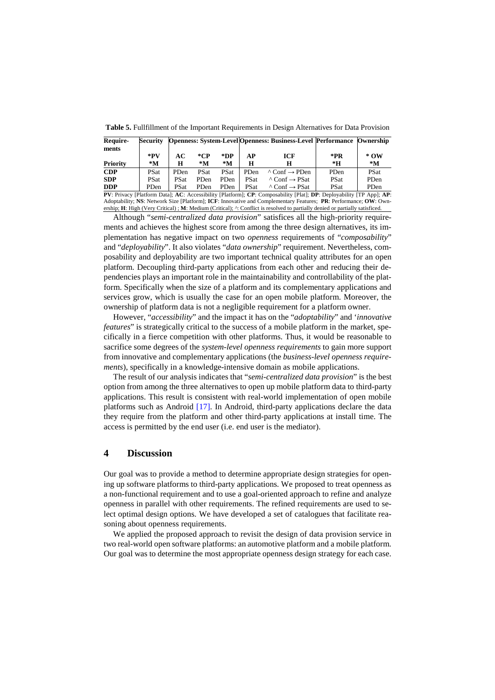**Table 5.** Fullfillment of the Important Requirements in Design Alternatives for Data Provision

| Require-<br>ments                                                                                                    | <b>Security</b> |             |             |             |             | Openness: System-Level Openness: Business-Level Performance Ownership |      |                  |
|----------------------------------------------------------------------------------------------------------------------|-----------------|-------------|-------------|-------------|-------------|-----------------------------------------------------------------------|------|------------------|
|                                                                                                                      | *PV             | AС          | *CP         | *DP         | АP          | ICF                                                                   | *PR  | $*$ OW           |
| <b>Priority</b>                                                                                                      | *М              | н           | *M          | *M          | н           | Н                                                                     | *H   | $*_{\mathbf{M}}$ |
| CDP                                                                                                                  | <b>PSat</b>     | PDen        | <b>PSat</b> | <b>PSat</b> | PDen        | $\wedge$ Conf $\rightarrow$ PDen                                      | PDen | <b>PSat</b>      |
| <b>SDP</b>                                                                                                           | PSat            | <b>PSat</b> | PDen        | <b>PDen</b> | PSat        | $\land$ Conf $\rightarrow$ PSat                                       | PSat | PDen             |
| <b>DDP</b>                                                                                                           | PDen            | PSat        | PDen        | <b>PDen</b> | <b>PSat</b> | $\land$ Conf $\rightarrow$ PSat                                       | PSat | PDen             |
| PV: Privacy [Platform Data]; AC: Accessibility [Platform]; CP: Composability [Plat]; DP: Deployability [TP App]; AP: |                 |             |             |             |             |                                                                       |      |                  |

Adoptability; **NS**: Network Size [Platform]; **ICF**: Innovative and Complementary Features; **PR**: Performance; **OW**: Ownership; **H**: High (Very Critical) ; **M**: Medium (Critical);  $\wedge$ : Conflict is resolved to partially denied or partially satisficed.

Although "*semi-centralized data provision*" satisfices all the high-priority requirements and achieves the highest score from among the three design alternatives, its implementation has negative impact on two *openness* requirements of "*composability*" and "*deployability*". It also violates "*data ownership*" requirement. Nevertheless, composability and deployability are two important technical quality attributes for an open platform. Decoupling third-party applications from each other and reducing their dependencies plays an important role in the maintainability and controllability of the platform. Specifically when the size of a platform and its complementary applications and services grow, which is usually the case for an open mobile platform. Moreover, the ownership of platform data is not a negligible requirement for a platform owner.

However, "*accessibility*" and the impact it has on the "*adoptability*" and '*innovative features*" is strategically critical to the success of a mobile platform in the market, specifically in a fierce competition with other platforms. Thus, it would be reasonable to sacrifice some degrees of the *system-level openness requirements* to gain more support from innovative and complementary applications (the *business-level openness requirements*), specifically in a knowledge-intensive domain as mobile applications.

The result of our analysis indicates that "*semi-centralized data provision*" is the best option from among the three alternatives to open up mobile platform data to third-party applications. This result is consistent with real-world implementation of open mobile platforms such as Android [17]. In Android, third-party applications declare the data they require from the platform and other third-party applications at install time. The access is permitted by the end user (i.e. end user is the mediator).

## **4 Discussion**

Our goal was to provide a method to determine appropriate design strategies for opening up software platforms to third-party applications. We proposed to treat openness as a non-functional requirement and to use a goal-oriented approach to refine and analyze openness in parallel with other requirements. The refined requirements are used to select optimal design options. We have developed a set of catalogues that facilitate reasoning about openness requirements.

We applied the proposed approach to revisit the design of data provision service in two real-world open software platforms: an automotive platform and a mobile platform. Our goal was to determine the most appropriate openness design strategy for each case.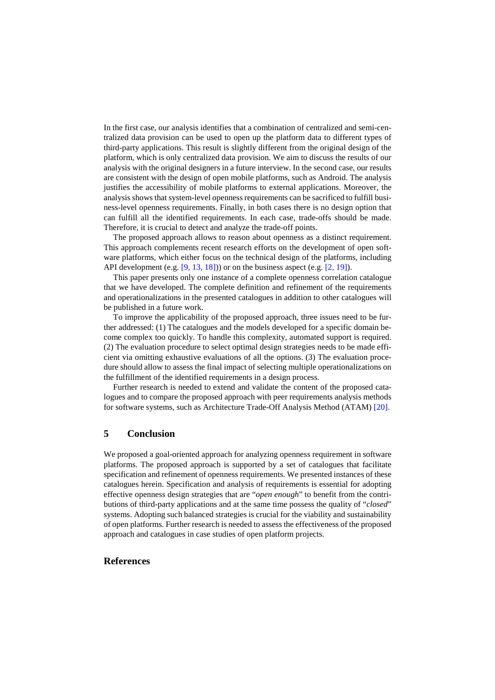In the first case, our analysis identifies that a combination of centralized and semi-centralized data provision can be used to open up the platform data to different types of third-party applications. This result is slightly different from the original design of the platform, which is only centralized data provision. We aim to discuss the results of our analysis with the original designers in a future interview. In the second case, our results are consistent with the design of open mobile platforms, such as Android. The analysis justifies the accessibility of mobile platforms to external applications. Moreover, the analysis shows that system-level openness requirements can be sacrificed to fulfill business-level openness requirements. Finally, in both cases there is no design option that can fulfill all the identified requirements. In each case, trade-offs should be made. Therefore, it is crucial to detect and analyze the trade-off points.

The proposed approach allows to reason about openness as a distinct requirement. This approach complements recent research efforts on the development of open software platforms, which either focus on the technical design of the platforms, including API development (e.g.  $[9, 13, 18]$ )) or on the business aspect (e.g.  $[2, 19]$ ).

This paper presents only one instance of a complete openness correlation catalogue that we have developed. The complete definition and refinement of the requirements and operationalizations in the presented catalogues in addition to other catalogues will be published in a future work.

To improve the applicability of the proposed approach, three issues need to be further addressed: (1) The catalogues and the models developed for a specific domain become complex too quickly. To handle this complexity, automated support is required. (2) The evaluation procedure to select optimal design strategies needs to be made efficient via omitting exhaustive evaluations of all the options. (3) The evaluation procedure should allow to assess the final impact of selecting multiple operationalizations on the fulfillment of the identified requirements in a design process.

Further research is needed to extend and validate the content of the proposed catalogues and to compare the proposed approach with peer requirements analysis methods for software systems, such as Architecture Trade-Off Analysis Method (ATAM) [20].

## **5 Conclusion**

We proposed a goal-oriented approach for analyzing openness requirement in software platforms. The proposed approach is supported by a set of catalogues that facilitate specification and refinement of openness requirements. We presented instances of these catalogues herein. Specification and analysis of requirements is essential for adopting effective openness design strategies that are "*open enough*" to benefit from the contributions of third-party applications and at the same time possess the quality of "*closed*" systems. Adopting such balanced strategies is crucial for the viability and sustainability of open platforms. Further research is needed to assess the effectiveness of the proposed approach and catalogues in case studies of open platform projects.

## **References**